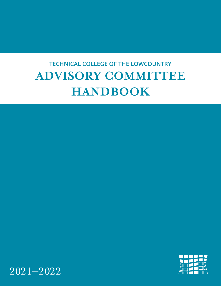# **TECHNICAL COLLEGE OF THE LOWCOUNTRY ADVISORY COMMITTEE HANDBOOK**



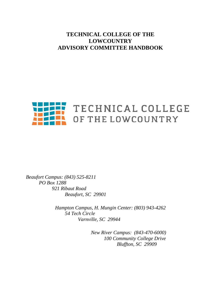# **TECHNICAL COLLEGE OF THE LOWCOUNTRY ADVISORY COMMITTEE HANDBOOK**



*Beaufort Campus: (843) 525-8211 PO Box 1288 921 Ribaut Road Beaufort, SC 29901*

> *Hampton Campus, H. Mungin Center: (803) 943-4262 54 Tech Circle Varnville, SC 29944*

> > *New River Campus: (843-470-6000) 100 Community College Drive Bluffton, SC 29909*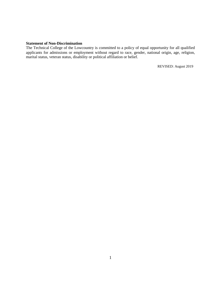#### **Statement of Non-Discrimination**

The Technical College of the Lowcountry is committed to a policy of equal opportunity for all qualified applicants for admissions or employment without regard to race, gender, national origin, age, religion, marital status, veteran status, disability or political affiliation or belief.

REVISED: August 2019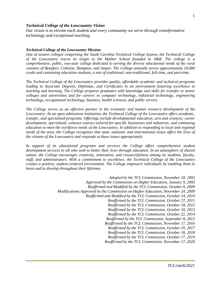#### *Technical College of the Lowcountry Vision*

*Our vision is to elevate each student and every community we serve through transformative technology and exceptional teaching.*

#### *Technical College of the Lowcountry Mission*

*One of sixteen colleges comprising the South Carolina Technical College System, the Technical College of the Lowcountry traces its origin to the Mather School founded in 1868. The college is a comprehensive, public, two-year college dedicated to serving the diverse educational needs of the rural counties of Beaufort, Colleton, Hampton, and Jasper. The College annually serves approximately 10,000 credit and continuing education students, a mix of traditional, non-traditional, full-time, and part-time.* 

*The Technical College of the Lowcountry provides quality, affordable academic and technical programs leading to Associate Degrees, Diplomas, and Certificates in an environment fostering excellence in teaching and learning. The College prepares graduates with knowledge and skills for transfer to senior colleges and universities and for careers in computer technology, industrial technology, engineering technology, occupational technology, business, health sciences, and public service.* 

*The College serves as an effective partner in the economic and human resource development of the Lowcountry. As an open admissions institution, the Technical College of the Lowcountry offers academic, transfer, and specialized programs. Offerings include developmental education; arts and sciences; career development; specialized, contract courses tailored for specific businesses and industries; and continuing education to meet the workforce needs of the Lowcountry. In addition to responding to local and regional needs of the area, the College recognizes that state, national, and international issues affect the lives of the citizens of the Lowcountry and responds to these issues appropriately.* 

In support of its educational programs and services the College offers comprehensive student *development services to all who seek to better their lives through education. In an atmosphere of shared values, the College encourages creativity, innovation, and resourcefulness among its students, faculty, staff, and administrators. With a commitment to excellence, the Technical College of the Lowcountry creates a positive, student-centered environment. The College empowers individuals by enabling them to learn and to develop throughout their lifetimes.* 

- *Adopted by the TCL Commission, November 18, 2002*
- *Approved by the Commission on Higher Education, January 9, 2003*
	- *Reaffirmed and Modified by the TCL Commission, October 8, 2009*
- *Modifications Approved by the Commission on Higher Education, November 24, 2009*
	- *Reaffirmed and Modified by the TCL Commission, October 14, 2010*
		- *Reaffirmed by the TCL Commission, October 27, 2011*
			- *Reaffirmed by the TCL Commission, October 18, 2012*
			- *Reaffirmed by the TCL Commission, October 18, 2013*
			- *Reaffirmed by the TCL Commission, October 22, 2014 Reaffirmed by the TCL Commission, September 8, 2015*
			- *Reaffirmed by the TCL Commission, November 17, 2016*
			- *Reaffirmed by the TCL Commission, October 19, 2017*
			- *Reaffirmed by the TCL Commission, October 18, 2018*
			- *Reaffirmed by the TCL Commission, October 17, 2019*
			- *Reaffirmed by the TCL Commission, November 17, 2020*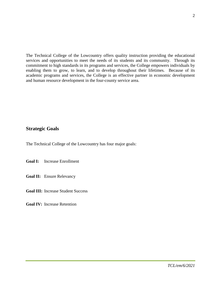The Technical College of the Lowcountry offers quality instruction providing the educational services and opportunities to meet the needs of its students and its community. Through its commitment to high standards in its programs and services, the College empowers individuals by enabling them to grow, to learn, and to develop throughout their lifetimes. Because of its academic programs and services, the College is an effective partner in economic development and human resource development in the four-county service area.

# **Strategic Goals**

The Technical College of the Lowcountry has four major goals:

**Goal I:** Increase Enrollment

**Goal II:** Ensure Relevancy

**Goal III:** Increase Student Success

**Goal IV:** Increase Retention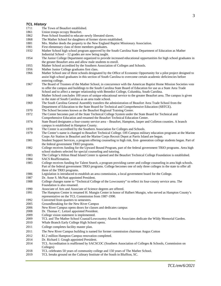# *TCL History*<br>1711 The

- 1711 The Town of Beaufort established.<br>1861 Inion troops occupy Beaufort
- Union troops occupy Beaufort.
- 1862 Penn School founded to educate newly liberated slaves.<br>1868 The Mather School for daughters of former slaves estable
- The Mather School for daughters of former slaves established.
- 1881 Mrs. Mather deeds the property to the New England Baptist Missionary Association.
- 1901 First elementary class of three members graduates.
- 1932 Mather School high school program approved by the South Carolina State Department of Education as Mather Industrial School – 12 grades are now being taught.
- 1954 The Junior College Department organized to provide increased educational opportunities for high school graduates in the greater Beaufort area and allow male students to enroll.
- 1955 Mather School accredited by the Southern Association of Colleges and Schools.
- 1956 Mather Junior College graduates first class.
- 1966 Mather School one of three schools designated by the Office of Economic Opportunity for a pilot project designed to assist high school graduates in this section of South Carolina to overcome certain academic deficiencies before entering college.
- 1967 The Board of Trustees of the Mather School, in concurrence with the American Baptist Home Mission Societies vote to offer the campus and buildings to the South Carolina State Board of Education for use as a State Area Trade School and to affect a merger relationship with Benedict College, Columbia, South Carolina.
- 1968 Mather School concludes 100 years of unique educational service to the greater Beaufort area. The campus is given to the state of South Carolina as an area trade school.
- 1969 The South Carolina General Assembly transfers the administration of Beaufort Area Trade School from the Department of Education to the State Board for Technical and Comprehensive Education (SBTCE).
- 1970 The School becomes known as the Beaufort Regional Training Center.
- 1972 The Center becomes part of the State Technical College System under the State Board for Technical and Comprehensive Education and renamed the Beaufort Technical Education Center.
- 1974 State Board designates a four-county service area Beaufort, Hampton, Jasper and Colleton counties. A branch campus is established in Hampton County.
- 1978 The Center is accredited by the Southern Association for Colleges and Schools.<br>1979 The Center's name is changed to Beaufort Technical College. Off-Campus milit
- The Center's name is changed to Beaufort Technical College. Off-Campus military education programs at the Marine Corps Air Station in Beaufort and the Marine Corps Recruit Depot at Parris Island are begun.
- 1981 Student Support Services, a program offering counseling to high risk, first- generation college students began. Part of the federal government TRIO programs.
- 1982 College receives funding for the Upward Bound Program, part of the federal government TRIO programs. Area high school students selected for special counseling and tutoring.
- 1983 The College's Hilton Head Island Center is opened and the Beaufort Technical College Foundation is established.
- 1984 SACS Reaffirmation.
- 1985 College receives funding for Talent Search, a program providing career and college counseling in area high schools. Part of the federal government TRIO programs. College becomes one of only three colleges in the state to offer all three of the TRIO programs.
- 1986 Legislation is introduced to establish an area commission, a local government board for the College.
- 1987 Dr. Anne S. McNutt appointed President.
- 1988 College changes name to "Technical College of the Lowcountry" to reflect its four-county service area. The Foundation is also renamed.
- 1990 Associate of Arts and Associate of Science degrees are offered.
- 1991 The Hampton Center is renamed H. Mungin Center in honor of Halbert Mungin, who served as Hampton County's representative on the TCL Commission from 1987-1990.
- 1992 Converted from quarters to semesters.
- 2005 Groundbreaking for the New River Campus
- 2006 New River Campus opens doors for classes and dedicates campus
- 2008 Dr. Thomas C. Leitzel appointed President.
- 2009 College vision statement is implemented.
- 2009 TCL and The Mather School Coastal/Lowcountry Alumni & Associates dedicate the Wildy Memorial Garden.<br>2010 Whale Branch Early College High School opens.
- Whale Branch Early College High School opens.
- 2011 College completes facility master plan.
- 2011 The New River Campus building is named for former commission chairman Angus Cotton
- 2012 \$1.2 million Hampton Campus renovation completed.
- 2014 Dr. Richard J. Gough appointed President.
- 2014 TCL Accreditation is reaffirmed by SACSCOC (Southern Association of Colleges & Schools, Commission on Colleges)
- 2018 TCL celebrates 50 years of community college and 150 years of The Mather School.
- 2019 TCL breaks ground on the Culinary Institute of the South in Bluffton, SC.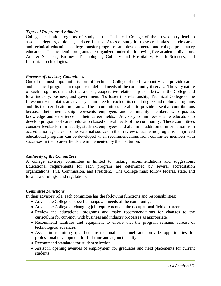#### *Types of Programs Available*

College academic programs of study at the Technical College of the Lowcountry lead to associate degrees, diplomas, and certificates. Areas of study for these credentials include career and technical education, college transfer programs, and developmental and college preparatory education. The academic programs are organized under the following five academic divisions: Arts & Sciences, Business Technologies, Culinary and Hospitality, Health Sciences, and Industrial Technologies.

#### *Purpose of Advisory Committees*

One of the most important missions of Technical College of the Lowcountry is to provide career and technical programs in response to defined needs of the community it serves. The very nature of such programs demands that a close, cooperative relationship exist between the College and local industry, business, and government. To foster this relationship, Technical College of the Lowcountry maintains an advisory committee for each of its credit degree and diploma programs and distinct certificate programs. These committees are able to provide essential contributions because their membership represents employers and community members who possess knowledge and experience in their career fields. Advisory committees enable educators to develop programs of career education based on real needs of the community. These committees consider feedback from faculty, students, employees, and alumni in addition to information from accreditation agencies or other external sources in their review of academic programs. Improved educational programs can be developed when recommendations from committee members with successes in their career fields are implemented by the institution.

#### *Authority of the Committees*

A college advisory committee is limited to making recommendations and suggestions. Educational requirements for each program are determined by several accreditation organizations, TCL Commission, and President. The College must follow federal, state, and local laws, rulings, and regulations.

#### *Committee Functions*

In their advisory role, each committee has the following functions and responsibilities:

- Advise the College of specific manpower needs of the community.
- Advise the College of changing job requirements in the occupational field or career.
- Review the educational programs and make recommendations for changes to the curriculum for currency with business and industry processes as appropriate.
- Recommend facilities and equipment to ensure that the program remains abreast of technological advances.
- Assist in recruiting qualified instructional personnel and provide opportunities for professional development for full-time and adjunct faculty.
- Recommend standards for student selection.
- Assist in opening avenues of employment for graduates and field placements for current students.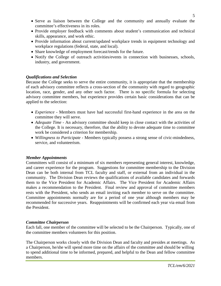- Serve as liaison between the College and the community and annually evaluate the committee's effectiveness in its roles.
- Provide employer feedback with comments about student's communication and technical skills, appearance, and work ethic.
- Provide information about current/updated workplace trends in equipment technology and workplace regulations (federal, state, and local).
- Share knowledge of employment forecast/trends for the future.
- Notify the College of outreach activities/events in connection with businesses, schools, industry, and government.

# *Qualifications and Selection*

Because the College seeks to serve the entire community, it is appropriate that the membership of each advisory committee reflects a cross-section of the community with regard to geographic location, race, gender, and any other such factor. There is no specific formula for selecting advisory committee members, but experience provides certain basic considerations that can be applied to the selection:

- *Experience* Members must have had successful first-hand experience in the area on the committee they will serve.
- *Adequate Time* An advisory committee should keep in close contact with the activities of the College. It is necessary, therefore, that the ability to devote adequate time to committee work be considered a criterion for membership.
- *Willingness to Participate* Members typically possess a strong sense of civic-mindedness, service, and volunteerism.

# *Member Appointments*

Committees will consist of a minimum of six members representing general interest, knowledge, and career experience for the program. Suggestions for committee membership to the Division Dean can be both internal from TCL faculty and staff, or external from an individual in the community. The Division Dean reviews the qualifications of available candidates and forwards them to the Vice President for Academic Affairs. The Vice President for Academic Affairs makes a recommendation to the President. Final review and approval of committee members rests with the President, who sends an email inviting each member to serve on the committee. Committee appointments normally are for a period of one year although members may be recommended for successive years. Reappointments will be confirmed each year via email from the President.

# *Committee Chairperson*

Each fall, one member of the committee will be selected to be the Chairperson. Typically, one of the committee members volunteers for this position.

The Chairperson works closely with the Division Dean and faculty and presides at meetings. As a Chairperson, he/she will spend more time on the affairs of the committee and should be willing to spend additional time to be informed, prepared, and helpful to the Dean and fellow committee members.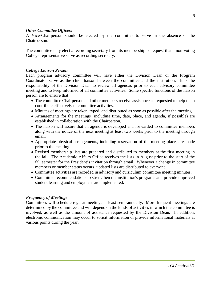#### *Other Committee Officers*

A Vice-Chairperson should be elected by the committee to serve in the absence of the Chairperson.

The committee may elect a recording secretary from its membership or request that a non-voting College representative serve as recording secretary.

### *College Liaison Person*

Each program advisory committee will have either the Division Dean or the Program Coordinator serve as the chief liaison between the committee and the institution. It is the responsibility of the Division Dean to review all agendas prior to each advisory committee meeting and to keep informed of all committee activities. Some specific functions of the liaison person are to ensure that:

- The committee Chairperson and other members receive assistance as requested to help them contribute effectively to committee activities.
- Minutes of meetings are taken, typed, and distributed as soon as possible after the meeting.
- Arrangements for the meetings (including time, date, place, and agenda, if possible) are established in collaboration with the Chairperson.
- The liaison will assure that an agenda is developed and forwarded to committee members along with the notice of the next meeting at least two weeks prior to the meeting through email.
- Appropriate physical arrangements, including reservation of the meeting place, are made prior to the meeting.
- Revised membership lists are prepared and distributed to members at the first meeting in the fall. The Academic Affairs Office receives the lists in August prior to the start of the fall semester for the President's invitation through email. Whenever a change in committee members or member status occurs, updated lists are distributed to everyone.
- Committee activities are recorded in advisory and curriculum committee meeting minutes.
- Committee recommendations to strengthen the institution's programs and provide improved student learning and employment are implemented.

# *Frequency of Meetings*

Committees will schedule regular meetings at least semi-annually. More frequent meetings are determined by the committee and will depend on the kinds of activities in which the committee is involved, as well as the amount of assistance requested by the Division Dean. In addition, electronic communication may occur to solicit information or provide informational materials at various points during the year.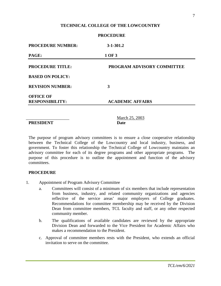### **TECHNICAL COLLEGE OF THE LOWCOUNTRY**

**PROCEDURE**

| $3 - 1 - 301.2$            |  |
|----------------------------|--|
| 1 OF 3                     |  |
| PROGRAM ADVISORY COMMITTEE |  |
|                            |  |
| 3                          |  |
| <b>ACADEMIC AFFAIRS</b>    |  |
|                            |  |

**PRESIDENT Date**

March 25, 2003

The purpose of program advisory committees is to ensure a close cooperative relationship between the Technical College of the Lowcountry and local industry, business, and government. To foster this relationship the Technical College of Lowcountry maintains an advisory committee for each of its degree programs and other appropriate programs. The purpose of this procedure is to outline the appointment and function of the advisory committees.

#### **PROCEDURE**

- 1. Appointment of Program Advisory Committee
	- a. Committees will consist of a minimum of six members that include representation from business, industry, and related community organizations and agencies reflective of the service areas' major employers of College graduates. Recommendations for committee membership may be received by the Division Dean from committee members, TCL faculty and staff, or any other respected community member.
	- b. The qualifications of available candidates are reviewed by the appropriate Division Dean and forwarded to the Vice President for Academic Affairs who makes a recommendation to the President.
	- c. Approval of committee members rests with the President, who extends an official invitation to serve on the committee.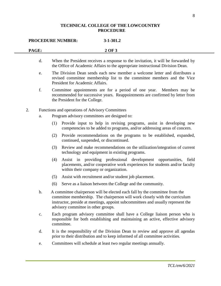# **TECHNICAL COLLEGE OF THE LOWCOUNTRY PROCEDURE**

| <b>PROCEDURE NUMBER:</b><br>$3 - 1 - 301.2$ |               |     |                                                                                                                                                                                                                                                                                       |  |
|---------------------------------------------|---------------|-----|---------------------------------------------------------------------------------------------------------------------------------------------------------------------------------------------------------------------------------------------------------------------------------------|--|
| PAGE:                                       |               |     | 2 OF 3                                                                                                                                                                                                                                                                                |  |
|                                             | d.            |     | When the President receives a response to the invitation, it will be forwarded by<br>the Office of Academic Affairs to the appropriate instructional Division Dean.                                                                                                                   |  |
|                                             | e.            |     | The Division Dean sends each new member a welcome letter and distributes a<br>revised committee membership list to the committee members and the Vice<br>President for Academic Affairs.                                                                                              |  |
|                                             | f.            |     | Committee appointments are for a period of one year.<br>Members may be<br>recommended for successive years. Reappointments are confirmed by letter from<br>the President for the College.                                                                                             |  |
| 2.                                          |               |     | Functions and operations of Advisory Committees                                                                                                                                                                                                                                       |  |
|                                             | a.            |     | Program advisory committees are designed to:                                                                                                                                                                                                                                          |  |
|                                             |               | (1) | Provide input to help in revising programs, assist in developing new<br>competencies to be added to programs, and/or addressing areas of concern.                                                                                                                                     |  |
|                                             |               | (2) | Provide recommendations on the programs to be established, expanded,<br>continued, suspended, or discontinued.                                                                                                                                                                        |  |
|                                             |               | (3) | Review and make recommendations on the utilization/integration of current<br>technology and equipment in existing programs.                                                                                                                                                           |  |
|                                             |               | (4) | providing professional development opportunities,<br>Assist<br>in<br>field<br>placements, and/or cooperative work experiences for students and/or faculty<br>within their company or organization.                                                                                    |  |
|                                             |               | (5) | Assist with recruitment and/or student job placement.                                                                                                                                                                                                                                 |  |
|                                             |               | (6) | Serve as a liaison between the College and the community.                                                                                                                                                                                                                             |  |
|                                             | b.            |     | A committee chairperson will be elected each fall by the committee from the<br>committee membership. The chairperson will work closely with the curriculum<br>instructor, preside at meetings, appoint subcommittees and usually represent the<br>advisory committee in other groups. |  |
|                                             | $\mathbf{c}.$ |     | Each program advisory committee shall have a College liaison person who is<br>responsible for both establishing and maintaining an active, effective advisory<br>committee.                                                                                                           |  |
|                                             | d.            |     | It is the responsibility of the Division Dean to review and approve all agendas<br>prior to their distribution and to keep informed of all committee activities.                                                                                                                      |  |
|                                             | e.            |     | Committees will schedule at least two regular meetings annually.                                                                                                                                                                                                                      |  |